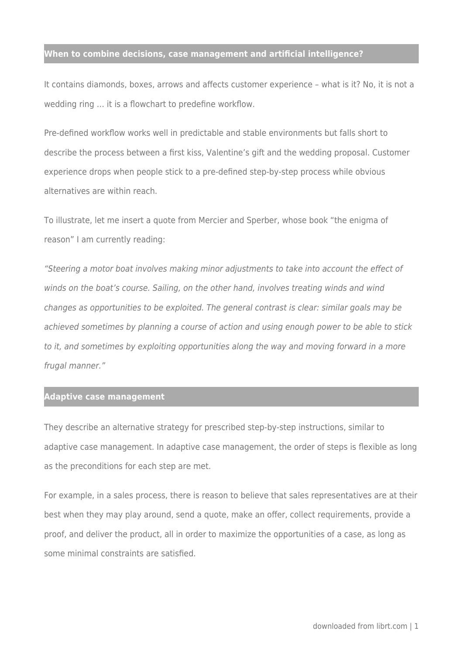#### **When to combine decisions, case management and artificial intelligence?**

It contains diamonds, boxes, arrows and affects customer experience – what is it? No, it is not a wedding ring … it is a flowchart to predefine workflow.

Pre-defined workflow works well in predictable and stable environments but falls short to describe the process between a first kiss, Valentine's gift and the wedding proposal. Customer experience drops when people stick to a pre-defined step-by-step process while obvious alternatives are within reach.

To illustrate, let me insert a quote from Mercier and Sperber, whose book "the enigma of reason" I am currently reading:

"Steering a motor boat involves making minor adjustments to take into account the effect of winds on the boat's course. Sailing, on the other hand, involves treating winds and wind changes as opportunities to be exploited. The general contrast is clear: similar goals may be achieved sometimes by planning a course of action and using enough power to be able to stick to it, and sometimes by exploiting opportunities along the way and moving forward in a more frugal manner."

## **Adaptive case management**

They describe an alternative strategy for prescribed step-by-step instructions, similar to adaptive case management. In adaptive case management, the order of steps is flexible as long as the preconditions for each step are met.

For example, in a sales process, there is reason to believe that sales representatives are at their best when they may play around, send a quote, make an offer, collect requirements, provide a proof, and deliver the product, all in order to maximize the opportunities of a case, as long as some minimal constraints are satisfied.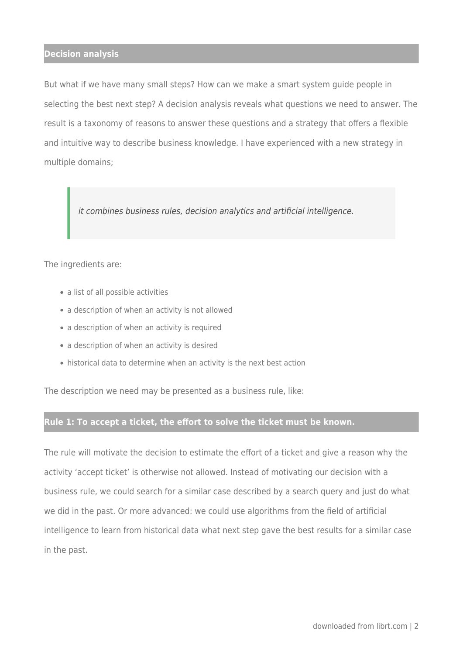### **Decision analysis**

But what if we have many small steps? How can we make a smart system guide people in selecting the best next step? A decision analysis reveals what questions we need to answer. The result is a taxonomy of reasons to answer these questions and a strategy that offers a flexible and intuitive way to describe business knowledge. I have experienced with a new strategy in multiple domains;

it combines business rules, decision analytics and artificial intelligence.

The ingredients are:

- a list of all possible activities
- a description of when an activity is not allowed
- a description of when an activity is required
- a description of when an activity is desired
- historical data to determine when an activity is the next best action

The description we need may be presented as a business rule, like:

# **Rule 1: To accept a ticket, the effort to solve the ticket must be known.**

The rule will motivate the decision to estimate the effort of a ticket and give a reason why the activity 'accept ticket' is otherwise not allowed. Instead of motivating our decision with a business rule, we could search for a similar case described by a search query and just do what we did in the past. Or more advanced: we could use algorithms from the field of artificial intelligence to learn from historical data what next step gave the best results for a similar case in the past.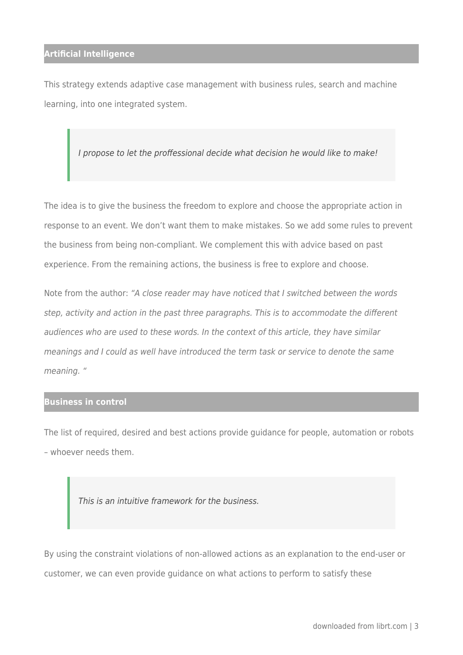## **Artificial Intelligence**

This strategy extends adaptive case management with business rules, search and machine learning, into one integrated system.

I propose to let the proffessional decide what decision he would like to make!

The idea is to give the business the freedom to explore and choose the appropriate action in response to an event. We don't want them to make mistakes. So we add some rules to prevent the business from being non-compliant. We complement this with advice based on past experience. From the remaining actions, the business is free to explore and choose.

Note from the author: "A close reader may have noticed that I switched between the words step, activity and action in the past three paragraphs. This is to accommodate the different audiences who are used to these words. In the context of this article, they have similar meanings and I could as well have introduced the term task or service to denote the same meaning. "

### **Business in control**

The list of required, desired and best actions provide guidance for people, automation or robots – whoever needs them.

This is an intuitive framework for the business.

By using the constraint violations of non-allowed actions as an explanation to the end-user or customer, we can even provide guidance on what actions to perform to satisfy these